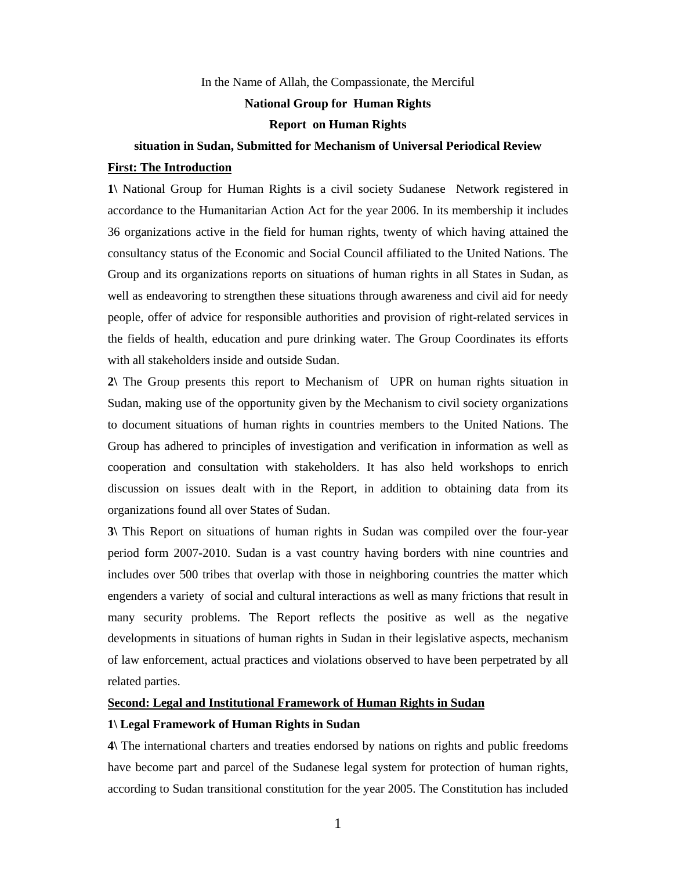In the Name of Allah, the Compassionate, the Merciful

# **National Group for Human Rights**

#### **Report on Human Rights**

# **situation in Sudan, Submitted for Mechanism of Universal Periodical Review**

#### **First: The Introduction**

**1\** National Group for Human Rights is a civil society Sudanese Network registered in accordance to the Humanitarian Action Act for the year 2006. In its membership it includes 36 organizations active in the field for human rights, twenty of which having attained the consultancy status of the Economic and Social Council affiliated to the United Nations. The Group and its organizations reports on situations of human rights in all States in Sudan, as well as endeavoring to strengthen these situations through awareness and civil aid for needy people, offer of advice for responsible authorities and provision of right-related services in the fields of health, education and pure drinking water. The Group Coordinates its efforts with all stakeholders inside and outside Sudan.

**2\** The Group presents this report to Mechanism of UPR on human rights situation in Sudan, making use of the opportunity given by the Mechanism to civil society organizations to document situations of human rights in countries members to the United Nations. The Group has adhered to principles of investigation and verification in information as well as cooperation and consultation with stakeholders. It has also held workshops to enrich discussion on issues dealt with in the Report, in addition to obtaining data from its organizations found all over States of Sudan.

**3\** This Report on situations of human rights in Sudan was compiled over the four-year period form 2007-2010. Sudan is a vast country having borders with nine countries and includes over 500 tribes that overlap with those in neighboring countries the matter which engenders a variety of social and cultural interactions as well as many frictions that result in many security problems. The Report reflects the positive as well as the negative developments in situations of human rights in Sudan in their legislative aspects, mechanism of law enforcement, actual practices and violations observed to have been perpetrated by all related parties.

# **Second: Legal and Institutional Framework of Human Rights in Sudan**

## **1\ Legal Framework of Human Rights in Sudan**

**4\** The international charters and treaties endorsed by nations on rights and public freedoms have become part and parcel of the Sudanese legal system for protection of human rights, according to Sudan transitional constitution for the year 2005. The Constitution has included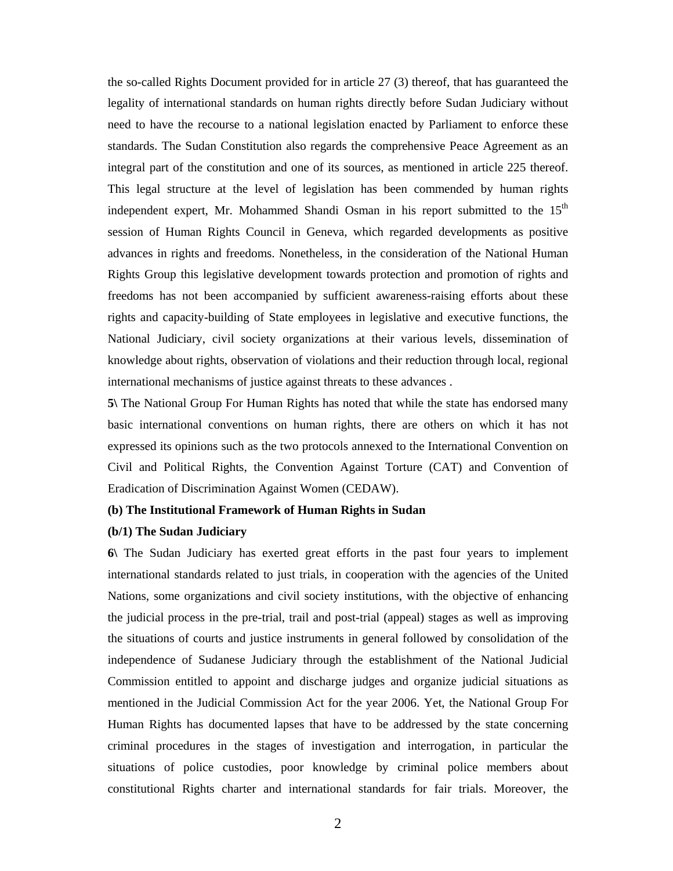the so-called Rights Document provided for in article 27 (3) thereof, that has guaranteed the legality of international standards on human rights directly before Sudan Judiciary without need to have the recourse to a national legislation enacted by Parliament to enforce these standards. The Sudan Constitution also regards the comprehensive Peace Agreement as an integral part of the constitution and one of its sources, as mentioned in article 225 thereof. This legal structure at the level of legislation has been commended by human rights independent expert, Mr. Mohammed Shandi Osman in his report submitted to the 15<sup>th</sup> session of Human Rights Council in Geneva, which regarded developments as positive advances in rights and freedoms. Nonetheless, in the consideration of the National Human Rights Group this legislative development towards protection and promotion of rights and freedoms has not been accompanied by sufficient awareness-raising efforts about these rights and capacity-building of State employees in legislative and executive functions, the National Judiciary, civil society organizations at their various levels, dissemination of knowledge about rights, observation of violations and their reduction through local, regional international mechanisms of justice against threats to these advances .

**5\** The National Group For Human Rights has noted that while the state has endorsed many basic international conventions on human rights, there are others on which it has not expressed its opinions such as the two protocols annexed to the International Convention on Civil and Political Rights, the Convention Against Torture (CAT) and Convention of Eradication of Discrimination Against Women (CEDAW).

# **(b) The Institutional Framework of Human Rights in Sudan**

#### **(b/1) The Sudan Judiciary**

**6\** The Sudan Judiciary has exerted great efforts in the past four years to implement international standards related to just trials, in cooperation with the agencies of the United Nations, some organizations and civil society institutions, with the objective of enhancing the judicial process in the pre-trial, trail and post-trial (appeal) stages as well as improving the situations of courts and justice instruments in general followed by consolidation of the independence of Sudanese Judiciary through the establishment of the National Judicial Commission entitled to appoint and discharge judges and organize judicial situations as mentioned in the Judicial Commission Act for the year 2006. Yet, the National Group For Human Rights has documented lapses that have to be addressed by the state concerning criminal procedures in the stages of investigation and interrogation, in particular the situations of police custodies, poor knowledge by criminal police members about constitutional Rights charter and international standards for fair trials. Moreover, the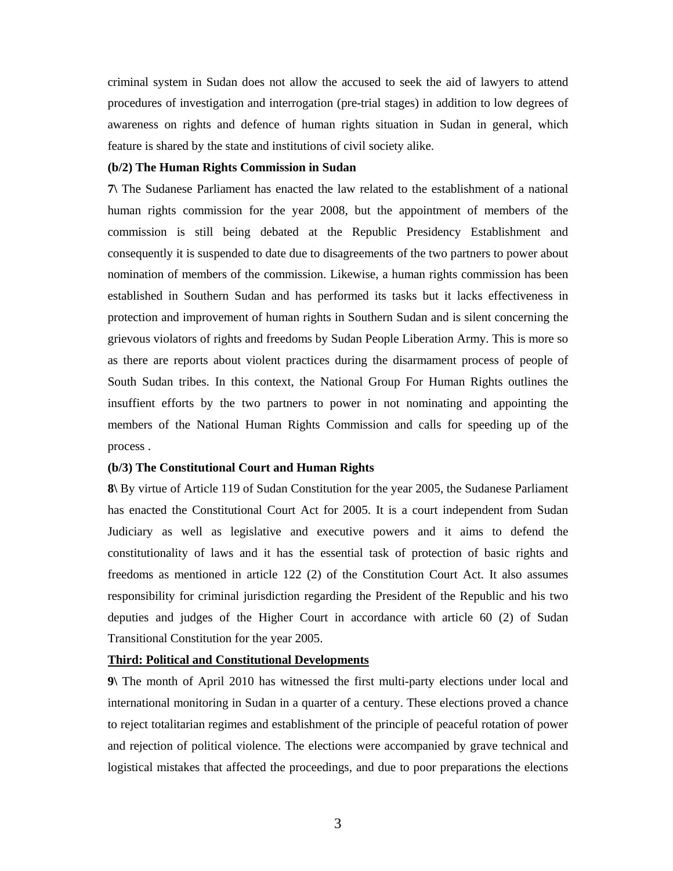criminal system in Sudan does not allow the accused to seek the aid of lawyers to attend procedures of investigation and interrogation (pre-trial stages) in addition to low degrees of awareness on rights and defence of human rights situation in Sudan in general, which feature is shared by the state and institutions of civil society alike.

#### **(b/2) The Human Rights Commission in Sudan**

**7\** The Sudanese Parliament has enacted the law related to the establishment of a national human rights commission for the year 2008, but the appointment of members of the commission is still being debated at the Republic Presidency Establishment and consequently it is suspended to date due to disagreements of the two partners to power about nomination of members of the commission. Likewise, a human rights commission has been established in Southern Sudan and has performed its tasks but it lacks effectiveness in protection and improvement of human rights in Southern Sudan and is silent concerning the grievous violators of rights and freedoms by Sudan People Liberation Army. This is more so as there are reports about violent practices during the disarmament process of people of South Sudan tribes. In this context, the National Group For Human Rights outlines the insuffient efforts by the two partners to power in not nominating and appointing the members of the National Human Rights Commission and calls for speeding up of the process .

# **(b/3) The Constitutional Court and Human Rights**

**8\** By virtue of Article 119 of Sudan Constitution for the year 2005, the Sudanese Parliament has enacted the Constitutional Court Act for 2005. It is a court independent from Sudan Judiciary as well as legislative and executive powers and it aims to defend the constitutionality of laws and it has the essential task of protection of basic rights and freedoms as mentioned in article 122 (2) of the Constitution Court Act. It also assumes responsibility for criminal jurisdiction regarding the President of the Republic and his two deputies and judges of the Higher Court in accordance with article 60 (2) of Sudan Transitional Constitution for the year 2005.

# **Third: Political and Constitutional Developments**

**9\** The month of April 2010 has witnessed the first multi-party elections under local and international monitoring in Sudan in a quarter of a century. These elections proved a chance to reject totalitarian regimes and establishment of the principle of peaceful rotation of power and rejection of political violence. The elections were accompanied by grave technical and logistical mistakes that affected the proceedings, and due to poor preparations the elections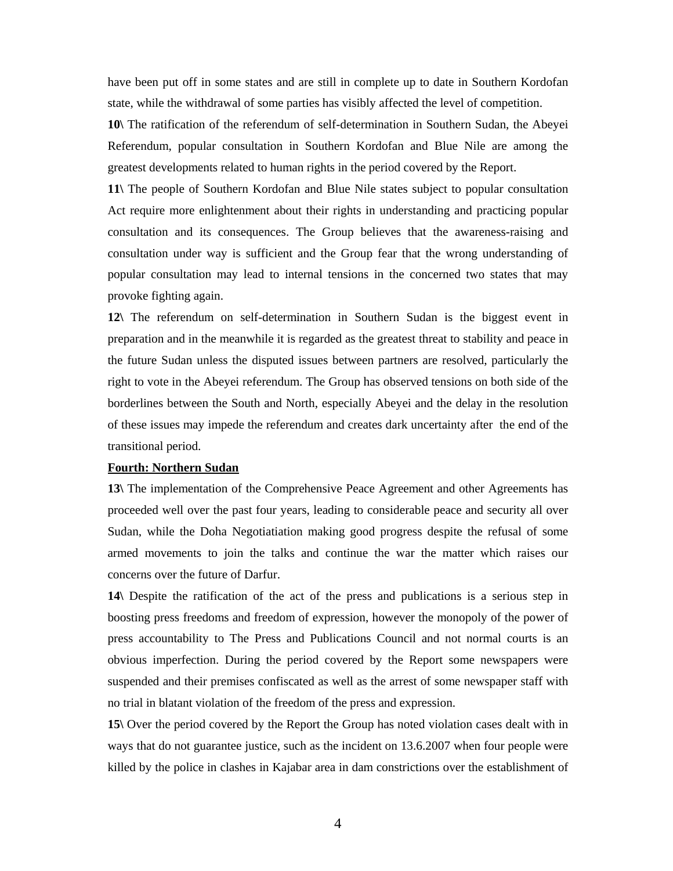have been put off in some states and are still in complete up to date in Southern Kordofan state, while the withdrawal of some parties has visibly affected the level of competition.

**10\** The ratification of the referendum of self-determination in Southern Sudan, the Abeyei Referendum, popular consultation in Southern Kordofan and Blue Nile are among the greatest developments related to human rights in the period covered by the Report.

**11\** The people of Southern Kordofan and Blue Nile states subject to popular consultation Act require more enlightenment about their rights in understanding and practicing popular consultation and its consequences. The Group believes that the awareness-raising and consultation under way is sufficient and the Group fear that the wrong understanding of popular consultation may lead to internal tensions in the concerned two states that may provoke fighting again.

**12\** The referendum on self-determination in Southern Sudan is the biggest event in preparation and in the meanwhile it is regarded as the greatest threat to stability and peace in the future Sudan unless the disputed issues between partners are resolved, particularly the right to vote in the Abeyei referendum. The Group has observed tensions on both side of the borderlines between the South and North, especially Abeyei and the delay in the resolution of these issues may impede the referendum and creates dark uncertainty after the end of the transitional period.

# **Fourth: Northern Sudan**

**13\** The implementation of the Comprehensive Peace Agreement and other Agreements has proceeded well over the past four years, leading to considerable peace and security all over Sudan, while the Doha Negotiatiation making good progress despite the refusal of some armed movements to join the talks and continue the war the matter which raises our concerns over the future of Darfur.

**14\** Despite the ratification of the act of the press and publications is a serious step in boosting press freedoms and freedom of expression, however the monopoly of the power of press accountability to The Press and Publications Council and not normal courts is an obvious imperfection. During the period covered by the Report some newspapers were suspended and their premises confiscated as well as the arrest of some newspaper staff with no trial in blatant violation of the freedom of the press and expression.

**15\** Over the period covered by the Report the Group has noted violation cases dealt with in ways that do not guarantee justice, such as the incident on 13.6.2007 when four people were killed by the police in clashes in Kajabar area in dam constrictions over the establishment of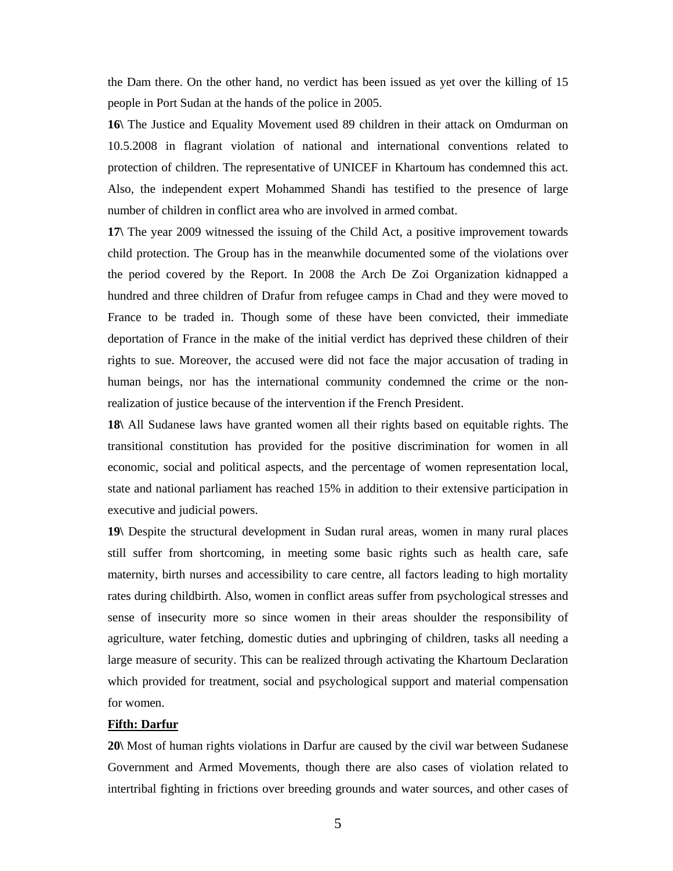the Dam there. On the other hand, no verdict has been issued as yet over the killing of 15 people in Port Sudan at the hands of the police in 2005.

**16\** The Justice and Equality Movement used 89 children in their attack on Omdurman on 10.5.2008 in flagrant violation of national and international conventions related to protection of children. The representative of UNICEF in Khartoum has condemned this act. Also, the independent expert Mohammed Shandi has testified to the presence of large number of children in conflict area who are involved in armed combat.

**17\** The year 2009 witnessed the issuing of the Child Act, a positive improvement towards child protection. The Group has in the meanwhile documented some of the violations over the period covered by the Report. In 2008 the Arch De Zoi Organization kidnapped a hundred and three children of Drafur from refugee camps in Chad and they were moved to France to be traded in. Though some of these have been convicted, their immediate deportation of France in the make of the initial verdict has deprived these children of their rights to sue. Moreover, the accused were did not face the major accusation of trading in human beings, nor has the international community condemned the crime or the nonrealization of justice because of the intervention if the French President.

**18\** All Sudanese laws have granted women all their rights based on equitable rights. The transitional constitution has provided for the positive discrimination for women in all economic, social and political aspects, and the percentage of women representation local, state and national parliament has reached 15% in addition to their extensive participation in executive and judicial powers.

**19\** Despite the structural development in Sudan rural areas, women in many rural places still suffer from shortcoming, in meeting some basic rights such as health care, safe maternity, birth nurses and accessibility to care centre, all factors leading to high mortality rates during childbirth. Also, women in conflict areas suffer from psychological stresses and sense of insecurity more so since women in their areas shoulder the responsibility of agriculture, water fetching, domestic duties and upbringing of children, tasks all needing a large measure of security. This can be realized through activating the Khartoum Declaration which provided for treatment, social and psychological support and material compensation for women.

# **Fifth: Darfur**

**20\** Most of human rights violations in Darfur are caused by the civil war between Sudanese Government and Armed Movements, though there are also cases of violation related to intertribal fighting in frictions over breeding grounds and water sources, and other cases of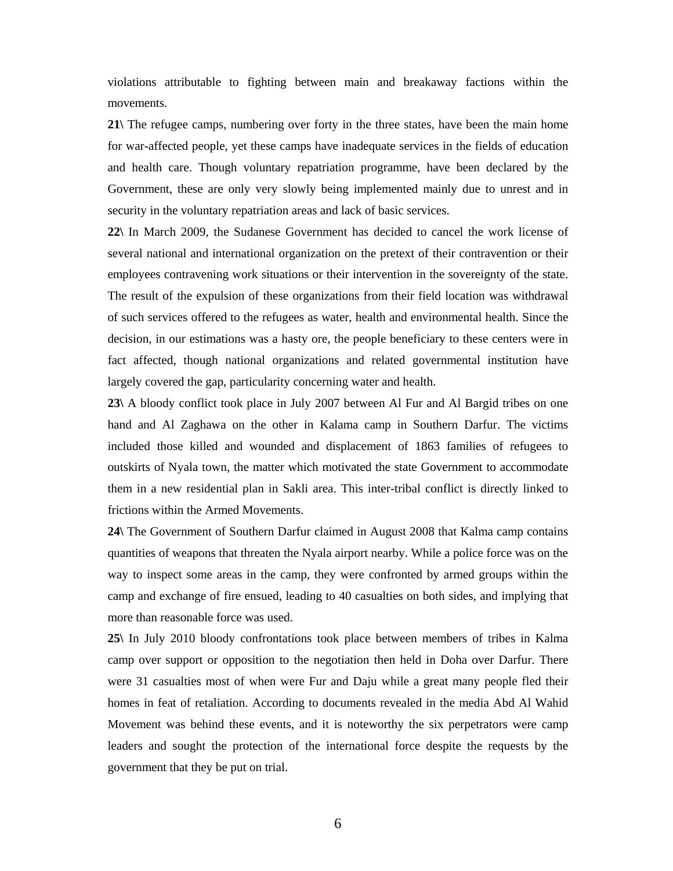violations attributable to fighting between main and breakaway factions within the movements.

**21\** The refugee camps, numbering over forty in the three states, have been the main home for war-affected people, yet these camps have inadequate services in the fields of education and health care. Though voluntary repatriation programme, have been declared by the Government, these are only very slowly being implemented mainly due to unrest and in security in the voluntary repatriation areas and lack of basic services.

**22\** In March 2009, the Sudanese Government has decided to cancel the work license of several national and international organization on the pretext of their contravention or their employees contravening work situations or their intervention in the sovereignty of the state. The result of the expulsion of these organizations from their field location was withdrawal of such services offered to the refugees as water, health and environmental health. Since the decision, in our estimations was a hasty ore, the people beneficiary to these centers were in fact affected, though national organizations and related governmental institution have largely covered the gap, particularity concerning water and health.

**23\** A bloody conflict took place in July 2007 between Al Fur and Al Bargid tribes on one hand and Al Zaghawa on the other in Kalama camp in Southern Darfur. The victims included those killed and wounded and displacement of 1863 families of refugees to outskirts of Nyala town, the matter which motivated the state Government to accommodate them in a new residential plan in Sakli area. This inter-tribal conflict is directly linked to frictions within the Armed Movements.

**24\** The Government of Southern Darfur claimed in August 2008 that Kalma camp contains quantities of weapons that threaten the Nyala airport nearby. While a police force was on the way to inspect some areas in the camp, they were confronted by armed groups within the camp and exchange of fire ensued, leading to 40 casualties on both sides, and implying that more than reasonable force was used.

**25\** In July 2010 bloody confrontations took place between members of tribes in Kalma camp over support or opposition to the negotiation then held in Doha over Darfur. There were 31 casualties most of when were Fur and Daju while a great many people fled their homes in feat of retaliation. According to documents revealed in the media Abd Al Wahid Movement was behind these events, and it is noteworthy the six perpetrators were camp leaders and sought the protection of the international force despite the requests by the government that they be put on trial.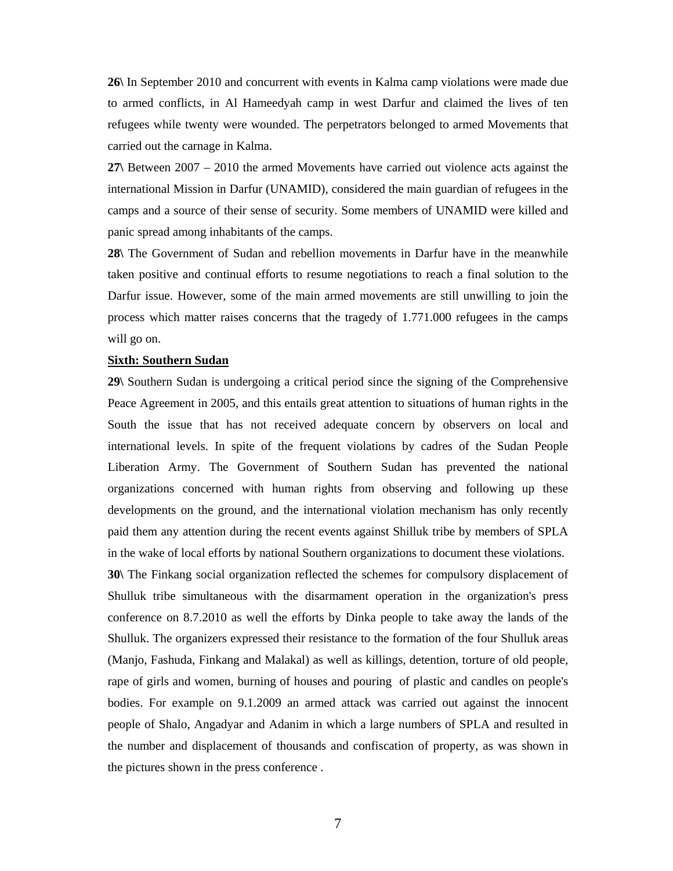**26\** In September 2010 and concurrent with events in Kalma camp violations were made due to armed conflicts, in Al Hameedyah camp in west Darfur and claimed the lives of ten refugees while twenty were wounded. The perpetrators belonged to armed Movements that carried out the carnage in Kalma.

**27\** Between 2007 – 2010 the armed Movements have carried out violence acts against the international Mission in Darfur (UNAMID), considered the main guardian of refugees in the camps and a source of their sense of security. Some members of UNAMID were killed and panic spread among inhabitants of the camps.

**28\** The Government of Sudan and rebellion movements in Darfur have in the meanwhile taken positive and continual efforts to resume negotiations to reach a final solution to the Darfur issue. However, some of the main armed movements are still unwilling to join the process which matter raises concerns that the tragedy of 1.771.000 refugees in the camps will go on.

#### **Sixth: Southern Sudan**

**29\** Southern Sudan is undergoing a critical period since the signing of the Comprehensive Peace Agreement in 2005, and this entails great attention to situations of human rights in the South the issue that has not received adequate concern by observers on local and international levels. In spite of the frequent violations by cadres of the Sudan People Liberation Army. The Government of Southern Sudan has prevented the national organizations concerned with human rights from observing and following up these developments on the ground, and the international violation mechanism has only recently paid them any attention during the recent events against Shilluk tribe by members of SPLA in the wake of local efforts by national Southern organizations to document these violations.

**30\** The Finkang social organization reflected the schemes for compulsory displacement of Shulluk tribe simultaneous with the disarmament operation in the organization's press conference on 8.7.2010 as well the efforts by Dinka people to take away the lands of the Shulluk. The organizers expressed their resistance to the formation of the four Shulluk areas (Manjo, Fashuda, Finkang and Malakal) as well as killings, detention, torture of old people, rape of girls and women, burning of houses and pouring of plastic and candles on people's bodies. For example on 9.1.2009 an armed attack was carried out against the innocent people of Shalo, Angadyar and Adanim in which a large numbers of SPLA and resulted in the number and displacement of thousands and confiscation of property, as was shown in the pictures shown in the press conference .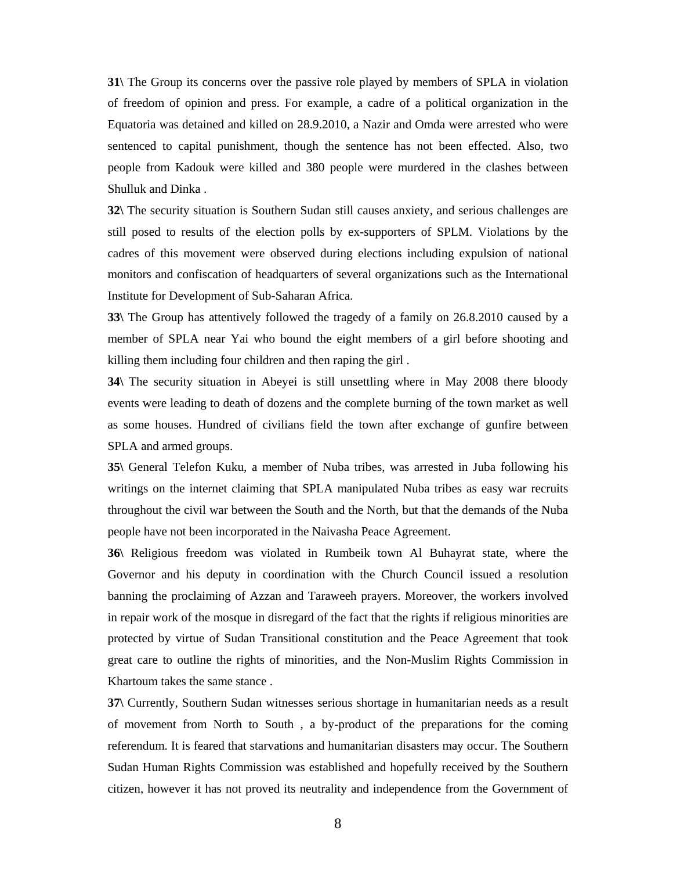**31\** The Group its concerns over the passive role played by members of SPLA in violation of freedom of opinion and press. For example, a cadre of a political organization in the Equatoria was detained and killed on 28.9.2010, a Nazir and Omda were arrested who were sentenced to capital punishment, though the sentence has not been effected. Also, two people from Kadouk were killed and 380 people were murdered in the clashes between Shulluk and Dinka .

**32\** The security situation is Southern Sudan still causes anxiety, and serious challenges are still posed to results of the election polls by ex-supporters of SPLM. Violations by the cadres of this movement were observed during elections including expulsion of national monitors and confiscation of headquarters of several organizations such as the International Institute for Development of Sub-Saharan Africa.

**33\** The Group has attentively followed the tragedy of a family on 26.8.2010 caused by a member of SPLA near Yai who bound the eight members of a girl before shooting and killing them including four children and then raping the girl .

**34\** The security situation in Abeyei is still unsettling where in May 2008 there bloody events were leading to death of dozens and the complete burning of the town market as well as some houses. Hundred of civilians field the town after exchange of gunfire between SPLA and armed groups.

**35\** General Telefon Kuku, a member of Nuba tribes, was arrested in Juba following his writings on the internet claiming that SPLA manipulated Nuba tribes as easy war recruits throughout the civil war between the South and the North, but that the demands of the Nuba people have not been incorporated in the Naivasha Peace Agreement.

**36\** Religious freedom was violated in Rumbeik town Al Buhayrat state, where the Governor and his deputy in coordination with the Church Council issued a resolution banning the proclaiming of Azzan and Taraweeh prayers. Moreover, the workers involved in repair work of the mosque in disregard of the fact that the rights if religious minorities are protected by virtue of Sudan Transitional constitution and the Peace Agreement that took great care to outline the rights of minorities, and the Non-Muslim Rights Commission in Khartoum takes the same stance .

**37\** Currently, Southern Sudan witnesses serious shortage in humanitarian needs as a result of movement from North to South , a by-product of the preparations for the coming referendum. It is feared that starvations and humanitarian disasters may occur. The Southern Sudan Human Rights Commission was established and hopefully received by the Southern citizen, however it has not proved its neutrality and independence from the Government of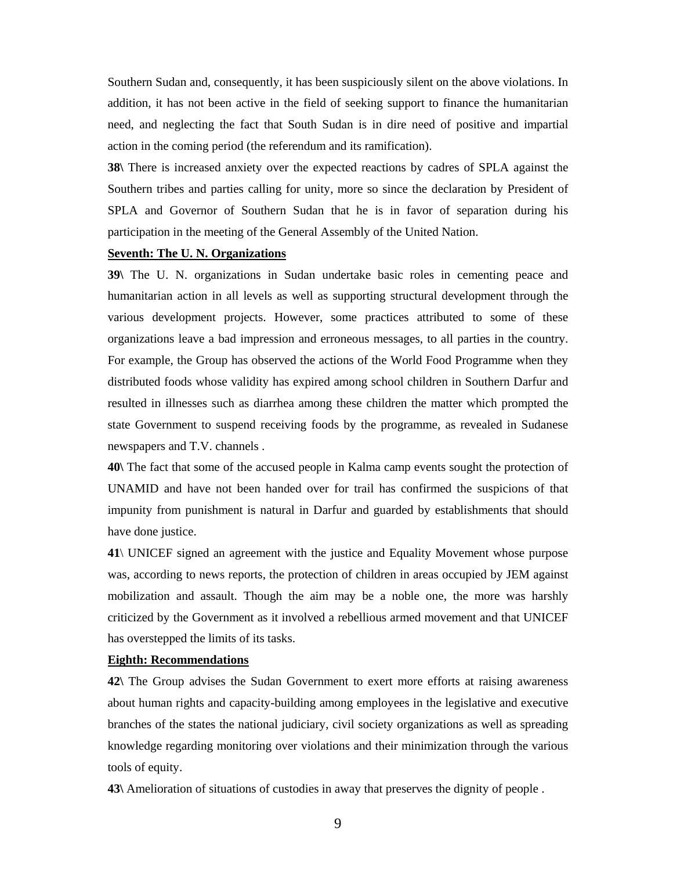Southern Sudan and, consequently, it has been suspiciously silent on the above violations. In addition, it has not been active in the field of seeking support to finance the humanitarian need, and neglecting the fact that South Sudan is in dire need of positive and impartial action in the coming period (the referendum and its ramification).

**38\** There is increased anxiety over the expected reactions by cadres of SPLA against the Southern tribes and parties calling for unity, more so since the declaration by President of SPLA and Governor of Southern Sudan that he is in favor of separation during his participation in the meeting of the General Assembly of the United Nation.

# **Seventh: The U. N. Organizations**

**39\** The U. N. organizations in Sudan undertake basic roles in cementing peace and humanitarian action in all levels as well as supporting structural development through the various development projects. However, some practices attributed to some of these organizations leave a bad impression and erroneous messages, to all parties in the country. For example, the Group has observed the actions of the World Food Programme when they distributed foods whose validity has expired among school children in Southern Darfur and resulted in illnesses such as diarrhea among these children the matter which prompted the state Government to suspend receiving foods by the programme, as revealed in Sudanese newspapers and T.V. channels .

**40\** The fact that some of the accused people in Kalma camp events sought the protection of UNAMID and have not been handed over for trail has confirmed the suspicions of that impunity from punishment is natural in Darfur and guarded by establishments that should have done justice.

**41**\ UNICEF signed an agreement with the justice and Equality Movement whose purpose was, according to news reports, the protection of children in areas occupied by JEM against mobilization and assault. Though the aim may be a noble one, the more was harshly criticized by the Government as it involved a rebellious armed movement and that UNICEF has overstepped the limits of its tasks.

# **Eighth: Recommendations**

**42\** The Group advises the Sudan Government to exert more efforts at raising awareness about human rights and capacity-building among employees in the legislative and executive branches of the states the national judiciary, civil society organizations as well as spreading knowledge regarding monitoring over violations and their minimization through the various tools of equity.

**43\** Amelioration of situations of custodies in away that preserves the dignity of people .